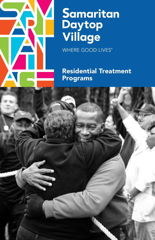

# Samaritan<br>Daytop<br>Village

WHERE GOOD LIVES®

Residential Treatment Programs

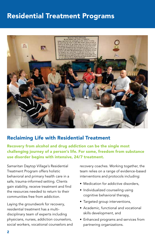# Residential Treatment Programs



#### Reclaiming Life with Residential Treatment

Recovery from alcohol and drug addiction can be the single most challenging journey of a person's life. For some, freedom from substance use disorder begins with intensive, 24/7 treatment.

Samaritan Daytop Village's Residential Treatment Program offers holistic behavioral and primary health care in a safe, trauma-informed setting. Clients gain stability, receive treatment and find the resources needed to return to their communities free from addiction.

Laying the groundwork for recovery, residential treatment has a multidisciplinary team of experts including physicians, nurses, addiction counselors, social workers, vocational counselors and recovery coaches. Working together, the team relies on a range of evidence-based interventions and protocols including:

- Medication for addictive disorders,
- Individualized counseling using cognitive behavioral therapy,
- Targeted group interventions,
- Academic, functional and vocational skills development, and
- Enhanced programs and services from partnering organizations.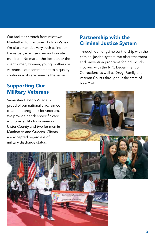Our facilities stretch from midtown Manhattan to the lower Hudson Valley. On-site amenities vary such as indoor basketball, exercise gym and on-site childcare. No matter the location or the client – men, women, young mothers or veterans – our commitment to a quality continuum of care remains the same.

## Supporting Our Military Veterans

Samaritan Daytop Village is proud of our nationally acclaimed treatment programs for veterans. We provide gender-specific care with one facility for women in Ulster County and two for men in Manhattan and Queens. Clients are accepted regardless of military discharge status.

Veterans Services

### Partnership with the Criminal Justice System

Through our longtime partnership with the criminal justice system, we offer treatment and prevention programs for individuals involved with the NYC Department of Corrections as well as Drug, Family and Veteran Courts throughout the state of New York.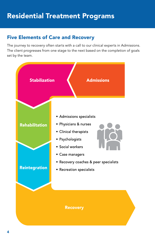# Five Elements of Care and Recovery

The journey to recovery often starts with a call to our clinical experts in Admissions. The client progresses from one stage to the next based on the completion of goals set by the team.

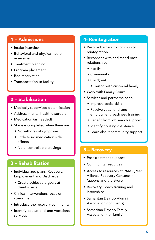#### 1 – Admissions

- Intake interview
- Behavioral and physical health assessment
- Treatment planning
- Program placement
- Bed reservation
- Transportation to facility

#### 2 – Stabilization

- Medically supervised detoxification
- Address mental health disorders
- Medication (as needed)
- Stage is completed when there are:
	- No withdrawal symptoms
	- Little to no medication side effects
	- No uncontrollable cravings

#### 3 – Rehabilitation

- Individualized plans (Recovery, Employment and Discharge)
	- Create achievable goals at client's pace
- Clinical interventions focus on strengths
- Introduce the recovery community
- Identify educational and vocational services

#### 4- Reintegration

- Resolve barriers to community reintegration
- Reconnect with and mend past relationships
	- Family
	- Community
	- Child(ren)
		- Liaison with custodial family
- Work with Family Court
- Services and partnerships to:
	- Improve social skills
	- Receive vocational and employment readiness training
	- Benefit from job search support
	- Identify housing assistance
	- Learn about community support

#### 5 – Recovery

- Post-treatment support
- Community resources
- Access to resources at PARC (Peer Alliance Recovery Centers) in Queens and the Bronx
- Recovery Coach training and internships
- Samaritan Daytop Alumni Association (for clients)
- Samaritan Daytop Family Association (for family)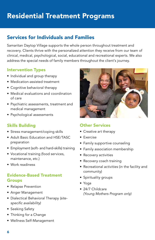# Residential Treatment Programs

## Services for Individuals and Families

Samaritan Daytop Village supports the whole person throughout treatment and recovery. Clients thrive with the personalized attention they receive from our team of clinical, medical, psychological, social, educational and recreational experts. We also address the special needs of family members throughout the client's journey.

#### Intervention Types

- Individual and group therapy
- Medication-assisted treatment
- Cognitive behavioral therapy
- Medical evaluations and coordination of care
- Psychiatric assessments, treatment and medical management
- Psychological assessments

#### Skills Building

- Stress management/coping skills
- Adult Basic Education and HSE/TASC preparation
- Employment (soft- and hard-skills) training
- Vocational training (food services, maintenance, etc.)
- Work readiness

#### Evidence-Based Treatment Groups

- Relapse Prevention
- Anger Management
- Dialectical Behavioral Therapy *(sitespecific availability)*
- Seeking Safety
- Thinking for a Change
- Wellness Self-Management



#### Other Services

- Creative art therapy
- Exercise
- Family supportive counseling
- Family association membership
- Recovery activities
- Recovery coach training
- Recreational activities (in the facility and community)
- Spirituality groups
- Yoga
- 24/7 Childcare *(Young Mothers Program only)*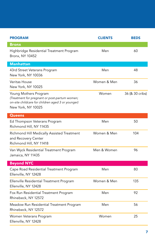| <b>PROGRAM</b>                                                                                                                                    | <b>CLIENTS</b> | <b>BEDS</b>     |
|---------------------------------------------------------------------------------------------------------------------------------------------------|----------------|-----------------|
| <b>Bronx</b>                                                                                                                                      |                |                 |
| Highbridge Residential Treatment Program<br><b>Bronx, NY 10452</b>                                                                                | Men            | 60              |
| <b>Manhattan</b>                                                                                                                                  |                |                 |
| 43rd Street Veterans Program<br>New York, NY 10036                                                                                                | Men            | 48              |
| Veritas House<br>New York, NY 10025                                                                                                               | Women & Men    | 36              |
| Young Mothers Program<br>(Treatment for pregnant or post-partum women;<br>on-site childcare for children aged 3 or younger)<br>New York, NY 10025 | Women          | 36 (& 30 cribs) |
| <b>Queens</b>                                                                                                                                     |                |                 |
| Ed Thompson Veterans Program<br>Richmond Hill, NY 11435                                                                                           | Men            | 50              |
| Richmond Hill Medically Assisted Treatment<br>and Recovery Center<br>Richmond Hill, NY 11418                                                      | Women & Men    | 104             |
| Van Wyck Residential Treatment Program<br>Jamaica, NY 11435                                                                                       | Men & Women    | 96              |
| <b>Beyond NYC</b>                                                                                                                                 |                |                 |
| Cape Road Residential Treatment Program<br>Ellenville, NY 12428                                                                                   | Men            | 80              |
| Ellenville Residential Treatment Program<br>Ellenville, NY 12428                                                                                  | Women & Men    | 135             |
| Fox Run Residential Treatment Program<br>Rhinebeck, NY 12572                                                                                      | Men            | 92              |
| Meadow Run Residential Treatment Program<br>Rhinebeck, NY 12572                                                                                   | Men            | 56              |
| Women Veterans Program<br>Ellenville, NY 12428                                                                                                    | Women          | 25              |

I

I

I